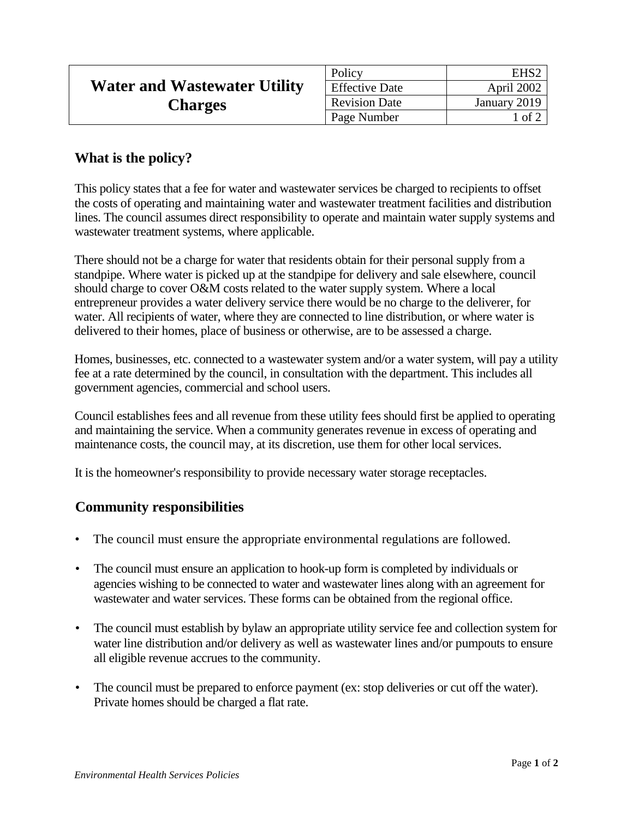|                                     | Policy                | EHS2         |
|-------------------------------------|-----------------------|--------------|
| <b>Water and Wastewater Utility</b> | <b>Effective Date</b> | April 2002   |
| <b>Charges</b>                      | <b>Revision Date</b>  | January 2019 |
|                                     | Page Number           | l of 2       |

## **What is the policy?**

This policy states that a fee for water and wastewater services be charged to recipients to offset the costs of operating and maintaining water and wastewater treatment facilities and distribution lines. The council assumes direct responsibility to operate and maintain water supply systems and wastewater treatment systems, where applicable.

There should not be a charge for water that residents obtain for their personal supply from a standpipe. Where water is picked up at the standpipe for delivery and sale elsewhere, council should charge to cover O&M costs related to the water supply system. Where a local entrepreneur provides a water delivery service there would be no charge to the deliverer, for water. All recipients of water, where they are connected to line distribution, or where water is delivered to their homes, place of business or otherwise, are to be assessed a charge.

Homes, businesses, etc. connected to a wastewater system and/or a water system, will pay a utility fee at a rate determined by the council, in consultation with the department. This includes all government agencies, commercial and school users.

Council establishes fees and all revenue from these utility fees should first be applied to operating and maintaining the service. When a community generates revenue in excess of operating and maintenance costs, the council may, at its discretion, use them for other local services.

It is the homeowner's responsibility to provide necessary water storage receptacles.

## **Community responsibilities**

- The council must ensure the appropriate environmental regulations are followed.
- The council must ensure an application to hook-up form is completed by individuals or agencies wishing to be connected to water and wastewater lines along with an agreement for wastewater and water services. These forms can be obtained from the regional office.
- The council must establish by bylaw an appropriate utility service fee and collection system for water line distribution and/or delivery as well as wastewater lines and/or pumpouts to ensure all eligible revenue accrues to the community.
- The council must be prepared to enforce payment (ex: stop deliveries or cut off the water). Private homes should be charged a flat rate.